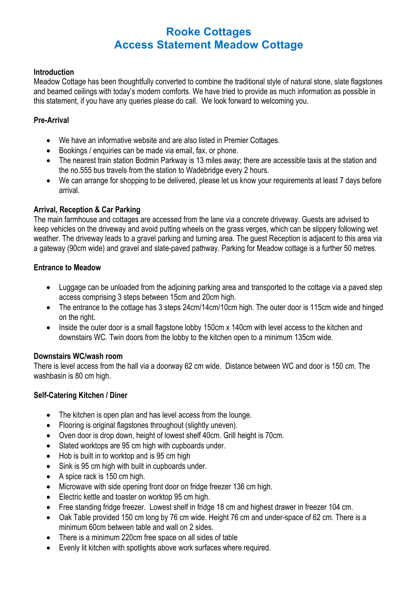# **Rooke Cottages Access Statement Meadow Cottage**

## **Introduction**

Meadow Cottage has been thoughtfully converted to combine the traditional style of natural stone, slate flagstones and beamed ceilings with today's modern comforts. We have tried to provide as much information as possible in this statement, if you have any queries please do call. We look forward to welcoming you.

# **Pre-Arrival**

- We have an informative website and are also listed in Premier Cottages.
- Bookings / enquiries can be made via email, fax, or phone.
- The nearest train station Bodmin Parkway is 13 miles away; there are accessible taxis at the station and the no.555 bus travels from the station to Wadebridge every 2 hours.
- We can arrange for shopping to be delivered, please let us know your requirements at least 7 days before arrival.

## **Arrival, Reception & Car Parking**

The main farmhouse and cottages are accessed from the lane via a concrete driveway. Guests are advised to keep vehicles on the driveway and avoid putting wheels on the grass verges, which can be slippery following wet weather. The driveway leads to a gravel parking and turning area. The guest Reception is adjacent to this area via a gateway (90cm wide) and gravel and slate-paved pathway. Parking for Meadow cottage is a further 50 metres.

## **Entrance to Meadow**

- Luggage can be unloaded from the adjoining parking area and transported to the cottage via a paved step access comprising 3 steps between 15cm and 20cm high.
- The entrance to the cottage has 3 steps 24cm/14cm/10cm high. The outer door is 115cm wide and hinged on the right.
- Inside the outer door is a small flagstone lobby 150cm x 140cm with level access to the kitchen and downstairs WC. Twin doors from the lobby to the kitchen open to a minimum 135cm wide.

## **Downstairs WC/wash room**

There is level access from the hall via a doorway 62 cm wide. Distance between WC and door is 150 cm. The washbasin is 80 cm high.

# **Self-Catering Kitchen / Diner**

- The kitchen is open plan and has level access from the lounge.
- Flooring is original flagstones throughout (slightly uneven).
- Oven door is drop down, height of lowest shelf 40cm. Grill height is 70cm.
- Slated worktops are 95 cm high with cupboards under.
- Hob is built in to worktop and is 95 cm high
- Sink is 95 cm high with built in cupboards under.
- A spice rack is 150 cm high.
- Microwave with side opening front door on fridge freezer 136 cm high.
- Electric kettle and toaster on worktop 95 cm high.
- Free standing fridge freezer. Lowest shelf in fridge 18 cm and highest drawer in freezer 104 cm.
- Oak Table provided 150 cm long by 76 cm wide. Height 76 cm and under-space of 62 cm. There is a minimum 60cm between table and wall on 2 sides.
- There is a minimum 220cm free space on all sides of table
- Evenly lit kitchen with spotlights above work surfaces where required.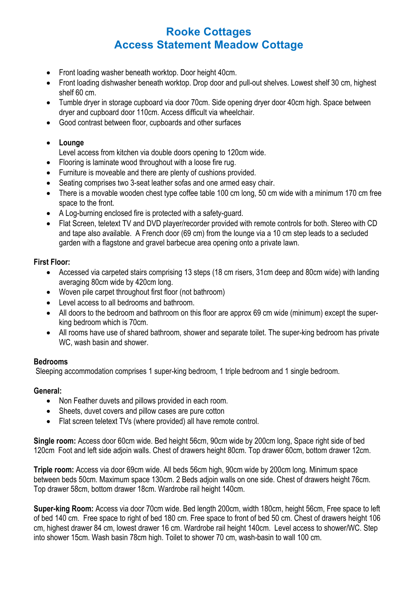# **Rooke Cottages Access Statement Meadow Cottage**

- Front loading washer beneath worktop. Door height 40cm.
- Front loading dishwasher beneath worktop. Drop door and pull-out shelves. Lowest shelf 30 cm, highest shelf 60 cm.
- Tumble dryer in storage cupboard via door 70cm. Side opening dryer door 40cm high. Space between dryer and cupboard door 110cm. Access difficult via wheelchair.
- Good contrast between floor, cupboards and other surfaces

## • **Lounge**

- Level access from kitchen via double doors opening to 120cm wide.
- Flooring is laminate wood throughout with a loose fire rug.
- Furniture is moveable and there are plenty of cushions provided.
- Seating comprises two 3-seat leather sofas and one armed easy chair.
- There is a movable wooden chest type coffee table 100 cm long, 50 cm wide with a minimum 170 cm free space to the front.
- A Log-burning enclosed fire is protected with a safety-guard.
- Flat Screen, teletext TV and DVD player/recorder provided with remote controls for both. Stereo with CD and tape also available. A French door (69 cm) from the lounge via a 10 cm step leads to a secluded garden with a flagstone and gravel barbecue area opening onto a private lawn.

## **First Floor:**

- Accessed via carpeted stairs comprising 13 steps (18 cm risers, 31cm deep and 80cm wide) with landing averaging 80cm wide by 420cm long.
- Woven pile carpet throughout first floor (not bathroom)
- Level access to all bedrooms and bathroom.
- All doors to the bedroom and bathroom on this floor are approx 69 cm wide (minimum) except the superking bedroom which is 70cm.
- All rooms have use of shared bathroom, shower and separate toilet. The super-king bedroom has private WC, wash basin and shower.

## **Bedrooms**

Sleeping accommodation comprises 1 super-king bedroom, 1 triple bedroom and 1 single bedroom.

## **General:**

- Non Feather duvets and pillows provided in each room.
- Sheets, duvet covers and pillow cases are pure cotton
- Flat screen teletext TVs (where provided) all have remote control.

**Single room:** Access door 60cm wide. Bed height 56cm, 90cm wide by 200cm long, Space right side of bed 120cm Foot and left side adjoin walls. Chest of drawers height 80cm. Top drawer 60cm, bottom drawer 12cm.

**Triple room:** Access via door 69cm wide. All beds 56cm high, 90cm wide by 200cm long. Minimum space between beds 50cm. Maximum space 130cm. 2 Beds adjoin walls on one side. Chest of drawers height 76cm. Top drawer 58cm, bottom drawer 18cm. Wardrobe rail height 140cm.

**Super-king Room:** Access via door 70cm wide. Bed length 200cm, width 180cm, height 56cm, Free space to left of bed 140 cm. Free space to right of bed 180 cm. Free space to front of bed 50 cm. Chest of drawers height 106 cm, highest drawer 84 cm, lowest drawer 16 cm. Wardrobe rail height 140cm. Level access to shower/WC. Step into shower 15cm. Wash basin 78cm high. Toilet to shower 70 cm, wash-basin to wall 100 cm.